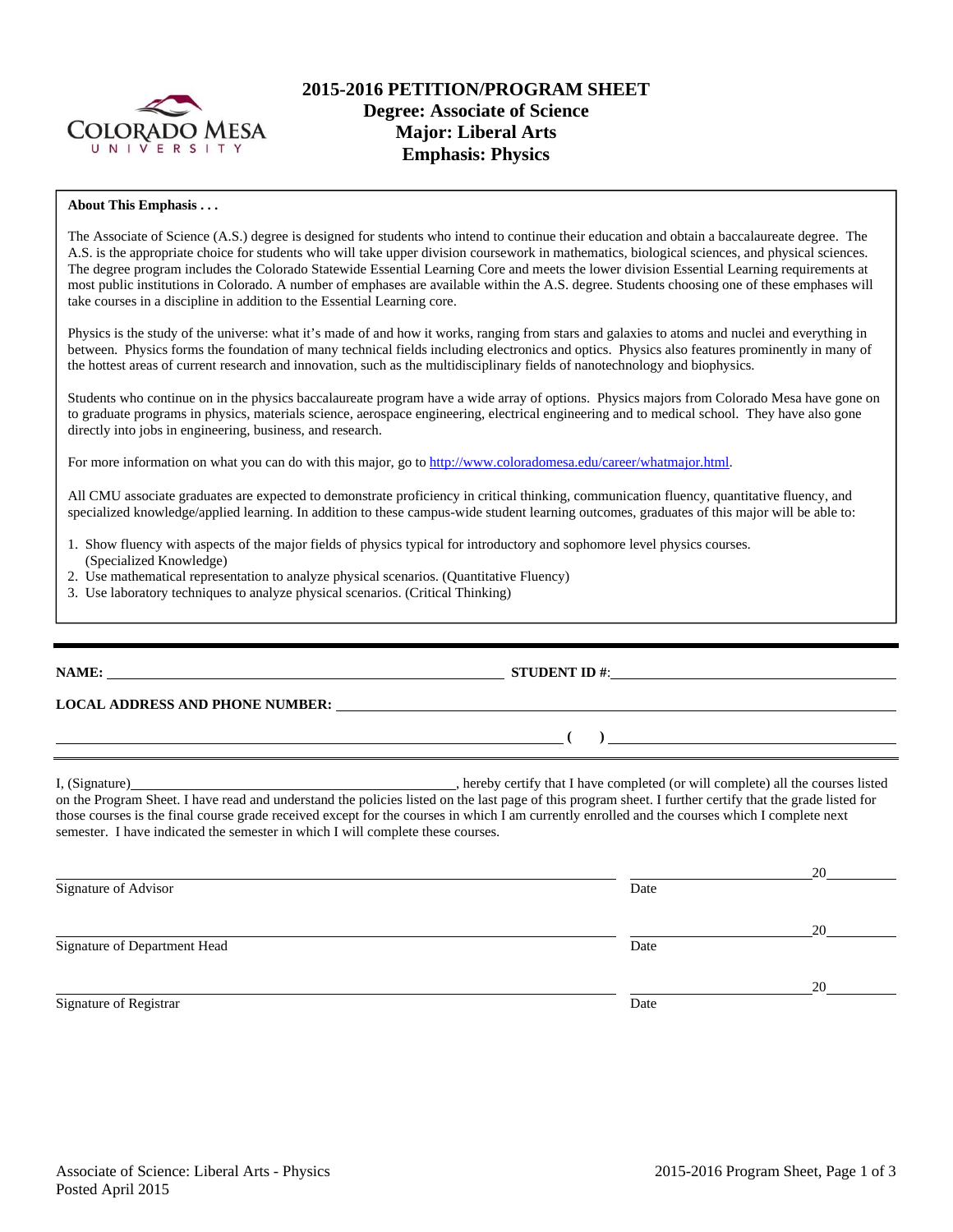

# **2015-2016 PETITION/PROGRAM SHEET Degree: Associate of Science Major: Liberal Arts Emphasis: Physics**

### **About This Emphasis . . .**

The Associate of Science (A.S.) degree is designed for students who intend to continue their education and obtain a baccalaureate degree. The A.S. is the appropriate choice for students who will take upper division coursework in mathematics, biological sciences, and physical sciences. The degree program includes the Colorado Statewide Essential Learning Core and meets the lower division Essential Learning requirements at most public institutions in Colorado. A number of emphases are available within the A.S. degree. Students choosing one of these emphases will take courses in a discipline in addition to the Essential Learning core.

Physics is the study of the universe: what it's made of and how it works, ranging from stars and galaxies to atoms and nuclei and everything in between. Physics forms the foundation of many technical fields including electronics and optics. Physics also features prominently in many of the hottest areas of current research and innovation, such as the multidisciplinary fields of nanotechnology and biophysics.

Students who continue on in the physics baccalaureate program have a wide array of options. Physics majors from Colorado Mesa have gone on to graduate programs in physics, materials science, aerospace engineering, electrical engineering and to medical school. They have also gone directly into jobs in engineering, business, and research.

For more information on what you can do with this major, go to http://www.coloradomesa.edu/career/whatmajor.html.

All CMU associate graduates are expected to demonstrate proficiency in critical thinking, communication fluency, quantitative fluency, and specialized knowledge/applied learning. In addition to these campus-wide student learning outcomes, graduates of this major will be able to:

- 1. Show fluency with aspects of the major fields of physics typical for introductory and sophomore level physics courses. (Specialized Knowledge)
- 2. Use mathematical representation to analyze physical scenarios. (Quantitative Fluency)
- 3. Use laboratory techniques to analyze physical scenarios. (Critical Thinking)

**NAME: STUDENT ID #: STUDENT ID #:** 

**LOCAL ADDRESS AND PHONE NUMBER:**

I, (Signature) , hereby certify that I have completed (or will complete) all the courses listed on the Program Sheet. I have read and understand the policies listed on the last page of this program sheet. I further certify that the grade listed for those courses is the final course grade received except for the courses in which I am currently enrolled and the courses which I complete next semester. I have indicated the semester in which I will complete these courses.

 $($   $)$   $)$ 

<u>20</u> Signature of Advisor Date <u>20</u> Signature of Department Head Date <u>20</u> Signature of Registrar Date Date of Registrar Date of Registrar Date Date of Registrar Date Date of Registrar D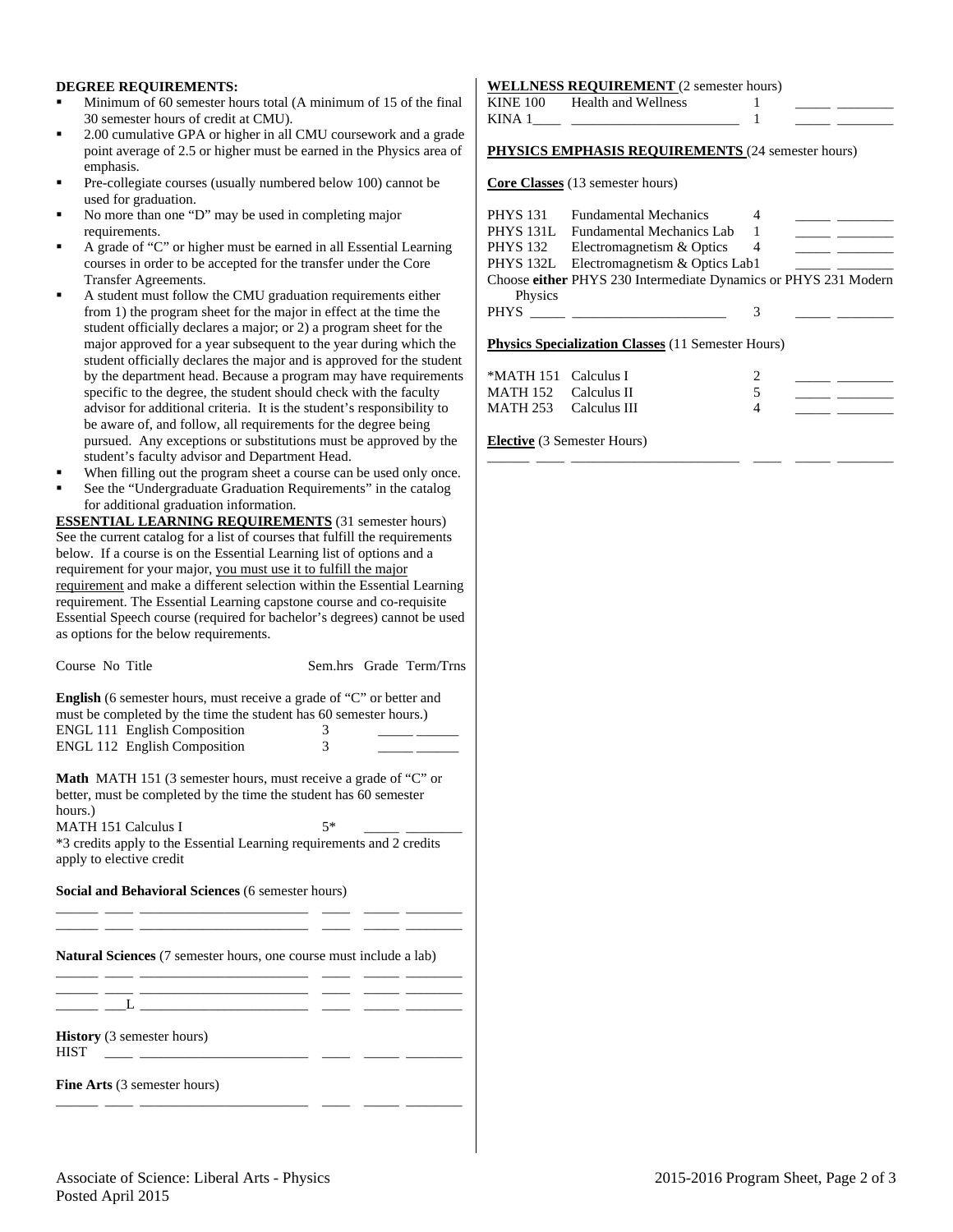### **DEGREE REQUIREMENTS:**

- Minimum of 60 semester hours total (A minimum of 15 of the final 30 semester hours of credit at CMU).
- 2.00 cumulative GPA or higher in all CMU coursework and a grade point average of 2.5 or higher must be earned in the Physics area of emphasis.
- Pre-collegiate courses (usually numbered below 100) cannot be used for graduation.
- No more than one "D" may be used in completing major requirements.
- A grade of "C" or higher must be earned in all Essential Learning courses in order to be accepted for the transfer under the Core Transfer Agreements.
- A student must follow the CMU graduation requirements either from 1) the program sheet for the major in effect at the time the student officially declares a major; or 2) a program sheet for the major approved for a year subsequent to the year during which the student officially declares the major and is approved for the student by the department head. Because a program may have requirements specific to the degree, the student should check with the faculty advisor for additional criteria. It is the student's responsibility to be aware of, and follow, all requirements for the degree being pursued. Any exceptions or substitutions must be approved by the student's faculty advisor and Department Head.
- When filling out the program sheet a course can be used only once.
- See the "Undergraduate Graduation Requirements" in the catalog for additional graduation information.

**ESSENTIAL LEARNING REQUIREMENTS** (31 semester hours) See the current catalog for a list of courses that fulfill the requirements below. If a course is on the Essential Learning list of options and a requirement for your major, you must use it to fulfill the major requirement and make a different selection within the Essential Learning requirement. The Essential Learning capstone course and co-requisite Essential Speech course (required for bachelor's degrees) cannot be used as options for the below requirements.

Course No Title Sem.hrs Grade Term/Trns **English** (6 semester hours, must receive a grade of "C" or better and must be completed by the time the student has 60 semester hours.) ENGL 111 English Composition 3 \_\_\_\_\_ \_\_\_\_\_\_ ENGL 112 English Composition 3

**Math** MATH 151 (3 semester hours, must receive a grade of "C" or better, must be completed by the time the student has 60 semester hours.)

MATH 151 Calculus I 5\* \*3 credits apply to the Essential Learning requirements and 2 credits apply to elective credit

\_\_\_\_\_\_ \_\_\_\_ \_\_\_\_\_\_\_\_\_\_\_\_\_\_\_\_\_\_\_\_\_\_\_\_ \_\_\_\_ \_\_\_\_\_ \_\_\_\_\_\_\_\_ \_\_\_\_\_\_ \_\_\_\_ \_\_\_\_\_\_\_\_\_\_\_\_\_\_\_\_\_\_\_\_\_\_\_\_ \_\_\_\_ \_\_\_\_\_ \_\_\_\_\_\_\_\_

\_\_\_\_\_\_ \_\_\_\_ \_\_\_\_\_\_\_\_\_\_\_\_\_\_\_\_\_\_\_\_\_\_\_\_ \_\_\_\_ \_\_\_\_\_ \_\_\_\_\_\_\_\_

**Social and Behavioral Sciences** (6 semester hours)

**Natural Sciences** (7 semester hours, one course must include a lab)

**History** (3 semester hours) HIST \_\_\_\_ \_\_\_\_\_\_\_\_\_\_\_\_\_\_\_\_\_\_\_\_\_\_\_\_ \_\_\_\_ \_\_\_\_\_ \_\_\_\_\_\_\_\_

**Fine Arts** (3 semester hours)

### **WELLNESS REQUIREMENT** (2 semester hours)

| <b>KINE 100</b> | Health and Wellness                                             |  |
|-----------------|-----------------------------------------------------------------|--|
| KINA 1          |                                                                 |  |
|                 | <b>PHYSICS EMPHASIS REQUIREMENTS (24 semester hours)</b>        |  |
|                 | <b>Core Classes</b> (13 semester hours)                         |  |
| <b>PHYS 131</b> | <b>Fundamental Mechanics</b>                                    |  |
|                 | PHYS 131L Fundamental Mechanics Lab                             |  |
| <b>PHYS 132</b> | Electromagnetism & Optics                                       |  |
| PHYS 132L       | Electromagnetism & Optics Lab1                                  |  |
|                 | Choose either PHYS 230 Intermediate Dynamics or PHYS 231 Modern |  |
| Physics         |                                                                 |  |
| <b>PHYS</b>     |                                                                 |  |

#### **Physics Specialization Classes** (11 Semester Hours)

| *MATH 151 Calculus I  |  |  |
|-----------------------|--|--|
| MATH 152 Calculus II  |  |  |
| MATH 253 Calculus III |  |  |

\_\_\_\_\_\_ \_\_\_\_ \_\_\_\_\_\_\_\_\_\_\_\_\_\_\_\_\_\_\_\_\_\_\_\_ \_\_\_\_ \_\_\_\_\_ \_\_\_\_\_\_\_\_

**Elective** (3 Semester Hours)